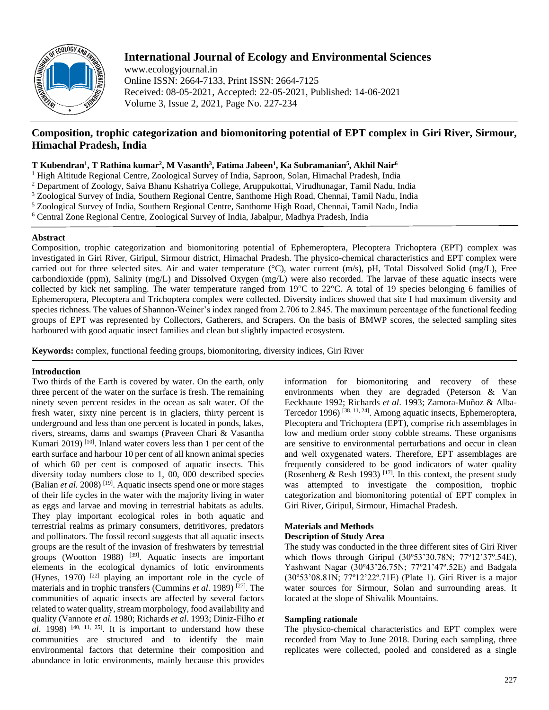

# **International Journal of Ecology and Environmental Sciences**

www.ecologyjournal.in Online ISSN: 2664-7133, Print ISSN: 2664-7125 Received: 08-05-2021, Accepted: 22-05-2021, Published: 14-06-2021 Volume 3, Issue 2, 2021, Page No. 227-234

# **Composition, trophic categorization and biomonitoring potential of EPT complex in Giri River, Sirmour, Himachal Pradesh, India**

# **T Kubendran<sup>1</sup> , T Rathina kumar<sup>2</sup> , M Vasanth<sup>3</sup> , Fatima Jabeen<sup>1</sup> , Ka Subramanian<sup>5</sup> , Akhil Nair<sup>6</sup>**

<sup>1</sup> High Altitude Regional Centre, Zoological Survey of India, Saproon, Solan, Himachal Pradesh, India

<sup>2</sup> Department of Zoology, Saiva Bhanu Kshatriya College, Aruppukottai, Virudhunagar, Tamil Nadu, India

<sup>3</sup> Zoological Survey of India, Southern Regional Centre, Santhome High Road, Chennai, Tamil Nadu, India

<sup>5</sup> Zoological Survey of India, Southern Regional Centre, Santhome High Road, Chennai, Tamil Nadu, India

<sup>6</sup> Central Zone Regional Centre, Zoological Survey of India, Jabalpur, Madhya Pradesh, India

## **Abstract**

Composition, trophic categorization and biomonitoring potential of Ephemeroptera, Plecoptera Trichoptera (EPT) complex was investigated in Giri River, Giripul, Sirmour district, Himachal Pradesh. The physico-chemical characteristics and EPT complex were carried out for three selected sites. Air and water temperature (°C), water current (m/s), pH, Total Dissolved Solid (mg/L), Free carbondioxide (ppm), Salinity (mg/L) and Dissolved Oxygen (mg/L) were also recorded. The larvae of these aquatic insects were collected by kick net sampling. The water temperature ranged from 19°C to 22°C. A total of 19 species belonging 6 families of Ephemeroptera, Plecoptera and Trichoptera complex were collected. Diversity indices showed that site I had maximum diversity and species richness. The values of Shannon-Weiner's index ranged from 2.706 to 2.845. The maximum percentage of the functional feeding groups of EPT was represented by Collectors, Gatherers, and Scrapers. On the basis of BMWP scores, the selected sampling sites harboured with good aquatic insect families and clean but slightly impacted ecosystem.

**Keywords:** complex, functional feeding groups, biomonitoring, diversity indices, Giri River

# **Introduction**

Two thirds of the Earth is covered by water. On the earth, only three percent of the water on the surface is fresh. The remaining ninety seven percent resides in the ocean as salt water. Of the fresh water, sixty nine percent is in glaciers, thirty percent is underground and less than one percent is located in ponds, lakes, rivers, streams, dams and swamps (Praveen Chari & Vasantha Kumari 2019)<sup>[10]</sup>. Inland water covers less than 1 per cent of the earth surface and harbour 10 per cent of all known animal species of which 60 per cent is composed of aquatic insects. This diversity today numbers close to 1, 00, 000 described species (Balian *et al.* 2008)<sup>[19]</sup>. Aquatic insects spend one or more stages of their life cycles in the water with the majority living in water as eggs and larvae and moving in terrestrial habitats as adults. They play important ecological roles in both aquatic and terrestrial realms as primary consumers, detritivores, predators and pollinators. The fossil record suggests that all aquatic insects groups are the result of the invasion of freshwaters by terrestrial groups (Wootton 1988) <sup>[39]</sup>. Aquatic insects are important elements in the ecological dynamics of lotic environments (Hynes, 1970)  $[22]$  playing an important role in the cycle of materials and in trophic transfers (Cummins *et al*. 1989) [27]. The communities of aquatic insects are affected by several factors related to water quality, stream morphology, food availability and quality (Vannote *et al.* 1980; Richards *et al*. 1993; Diniz-Filho *et*   $al.$  1998)<sup>[40, 11, 25]. It is important to understand how these</sup> communities are structured and to identify the main environmental factors that determine their composition and abundance in lotic environments, mainly because this provides

information for biomonitoring and recovery of these environments when they are degraded (Peterson & Van Eeckhaute 1992; Richards *et al*. 1993; Zamora-Muñoz & Alba-Tercedor 1996)<sup>[38, 11, 24]</sup>. Among aquatic insects, Ephemeroptera, Plecoptera and Trichoptera (EPT), comprise rich assemblages in low and medium order stony cobble streams. These organisms are sensitive to environmental perturbations and occur in clean and well oxygenated waters. Therefore, EPT assemblages are frequently considered to be good indicators of water quality (Rosenberg & Resh 1993)<sup>[17]</sup>. In this context, the present study was attempted to investigate the composition, trophic categorization and biomonitoring potential of EPT complex in Giri River, Giripul, Sirmour, Himachal Pradesh.

# **Materials and Methods**

## **Description of Study Area**

The study was conducted in the three different sites of Giri River which flows through Giripul (30º53'30.78N; 77º12'37º.54E), Yashwant Nagar (30º43'26.75N; 77º21'47º.52E) and Badgala (30º53'08.81N; 77º12'22º.71E) (Plate 1). Giri River is a major water sources for Sirmour, Solan and surrounding areas. It located at the slope of Shivalik Mountains.

# **Sampling rationale**

The physico-chemical characteristics and EPT complex were recorded from May to June 2018. During each sampling, three replicates were collected, pooled and considered as a single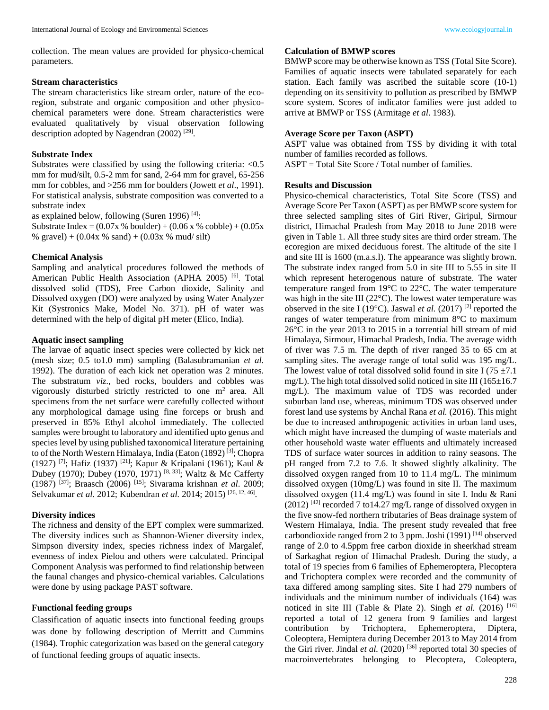collection. The mean values are provided for physico-chemical parameters.

#### **Stream characteristics**

The stream characteristics like stream order, nature of the ecoregion, substrate and organic composition and other physicochemical parameters were done. Stream characteristics were evaluated qualitatively by visual observation following description adopted by Nagendran (2002)<sup>[29]</sup>.

#### **Substrate Index**

Substrates were classified by using the following criteria:  $< 0.5$ mm for mud/silt, 0.5-2 mm for sand, 2-64 mm for gravel, 65-256 mm for cobbles, and >256 mm for boulders (Jowett *et al*., 1991). For statistical analysis, substrate composition was converted to a substrate index

as explained below, following (Suren 1996) [4]:

Substrate Index =  $(0.07x %$  boulder) +  $(0.06 x %$  cobble) +  $(0.05x %$ % gravel $) + (0.04x % \sinh) + (0.03x % \sinh)$ 

#### **Chemical Analysis**

Sampling and analytical procedures followed the methods of American Public Health Association (APHA 2005)<sup>[6]</sup>. Total dissolved solid (TDS), Free Carbon dioxide, Salinity and Dissolved oxygen (DO) were analyzed by using Water Analyzer Kit (Systronics Make, Model No. 371). pH of water was determined with the help of digital pH meter (Elico, India).

## **Aquatic insect sampling**

The larvae of aquatic insect species were collected by kick net (mesh size; 0.5 to1.0 mm) sampling (Balasubramanian *et al.* 1992). The duration of each kick net operation was 2 minutes. The substratum *viz*., bed rocks, boulders and cobbles was vigorously disturbed strictly restricted to one  $m<sup>2</sup>$  area. All specimens from the net surface were carefully collected without any morphological damage using fine forceps or brush and preserved in 85% Ethyl alcohol immediately. The collected samples were brought to laboratory and identified upto genus and species level by using published taxonomical literature pertaining to of the North Western Himalaya, India (Eaton (1892)<sup>[3]</sup>; Chopra (1927) [7]; Hafiz (1937) [21]; Kapur & Kripalani (1961); Kaul & (1927) , rating (1970); Dubey (1970, 1971) [8, 33]; Waltz & Mc Cafferty (1987) [37]; Braasch (2006) [15]; Sivarama krishnan *et al*. 2009; Selvakumar *et al.* 2012; Kubendran *et al.* 2014; 2015)<sup>[26, 12, 46].</sup>

### **Diversity indices**

The richness and density of the EPT complex were summarized. The diversity indices such as Shannon-Wiener diversity index, Simpson diversity index, species richness index of Margalef, evenness of index Pielou and others were calculated. Principal Component Analysis was performed to find relationship between the faunal changes and physico-chemical variables. Calculations were done by using package PAST software.

## **Functional feeding groups**

Classification of aquatic insects into functional feeding groups was done by following description of Merritt and Cummins (1984). Trophic categorization was based on the general category of functional feeding groups of aquatic insects.

## **Calculation of BMWP scores**

BMWP score may be otherwise known as TSS (Total Site Score). Families of aquatic insects were tabulated separately for each station. Each family was ascribed the suitable score (10-1) depending on its sensitivity to pollution as prescribed by BMWP score system. Scores of indicator families were just added to arrive at BMWP or TSS (Armitage *et al*. 1983).

## **Average Score per Taxon (ASPT)**

ASPT value was obtained from TSS by dividing it with total number of families recorded as follows.

ASPT = Total Site Score / Total number of families.

#### **Results and Discussion**

Physico-chemical characteristics, Total Site Score (TSS) and Average Score Per Taxon (ASPT) as per BMWP score system for three selected sampling sites of Giri River, Giripul, Sirmour district, Himachal Pradesh from May 2018 to June 2018 were given in Table 1. All three study sites are third order stream. The ecoregion are mixed deciduous forest. The altitude of the site I and site III is 1600 (m.a.s.l). The appearance was slightly brown. The substrate index ranged from 5.0 in site III to 5.55 in site II which represent heterogenous nature of substrate. The water temperature ranged from 19°C to 22°C. The water temperature was high in the site III (22°C). The lowest water temperature was observed in the site I (19 $^{\circ}$ C). Jaswal *et al.* (2017) <sup>[2]</sup> reported the ranges of water temperature from minimum 8°C to maximum 26°C in the year 2013 to 2015 in a torrential hill stream of mid Himalaya, Sirmour, Himachal Pradesh, India. The average width of river was 7.5 m. The depth of river ranged 35 to 65 cm at sampling sites. The average range of total solid was 195 mg/L. The lowest value of total dissolved solid found in site I (75  $\pm$ 7.1) mg/L). The high total dissolved solid noticed in site III ( $165\pm16.7$ ) mg/L). The maximum value of TDS was recorded under suburban land use, whereas, minimum TDS was observed under forest land use systems by Anchal Rana *et al.* (2016). This might be due to increased anthropogenic activities in urban land uses, which might have increased the dumping of waste materials and other household waste water effluents and ultimately increased TDS of surface water sources in addition to rainy seasons. The pH ranged from 7.2 to 7.6. It showed slightly alkalinity. The dissolved oxygen ranged from 10 to 11.4 mg/L. The minimum dissolved oxygen (10mg/L) was found in site II. The maximum dissolved oxygen (11.4 mg/L) was found in site I. Indu & Rani  $(2012)$ <sup>[42]</sup> recorded 7 to14.27 mg/L range of dissolved oxygen in the five snow-fed northern tributaries of Beas drainage system of Western Himalaya, India. The present study revealed that free carbondioxide ranged from 2 to 3 ppm. Joshi (1991) [14] observed range of 2.0 to 4.5ppm free carbon dioxide in sheerkhad stream of Sarkaghat region of Himachal Pradesh. During the study, a total of 19 species from 6 families of Ephemeroptera, Plecoptera and Trichoptera complex were recorded and the community of taxa differed among sampling sites. Site I had 279 numbers of individuals and the minimum number of individuals (164) was noticed in site III (Table & Plate 2). Singh *et al.* (2016) <sup>[16]</sup> reported a total of 12 genera from 9 families and largest contribution by Trichoptera, Ephemeroptera, Diptera, Coleoptera, Hemiptera during December 2013 to May 2014 from the Giri river. Jindal et al. (2020)<sup>[36]</sup> reported total 30 species of macroinvertebrates belonging to Plecoptera, Coleoptera,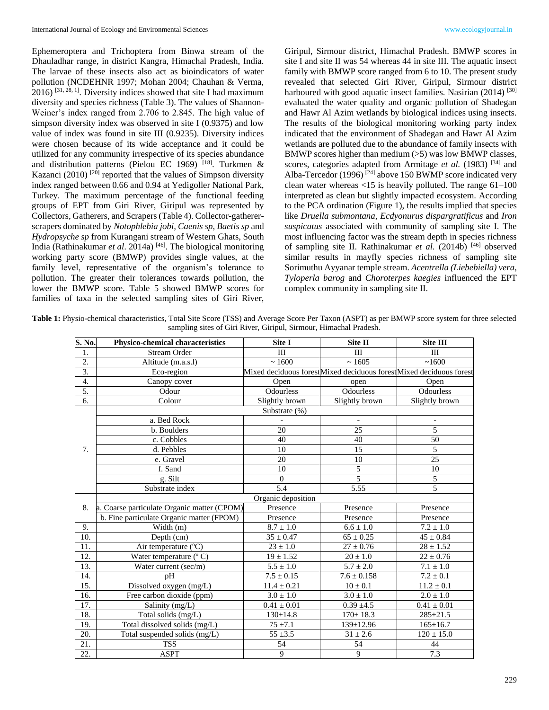Ephemeroptera and Trichoptera from Binwa stream of the Dhauladhar range, in district Kangra, Himachal Pradesh, India. The larvae of these insects also act as bioindicators of water pollution (NCDEHNR 1997; Mohan 2004; Chauhan & Verma,  $2016$ ) <sup>[31, 28, 1]</sup>. Diversity indices showed that site I had maximum diversity and species richness (Table 3). The values of Shannon-Weiner's index ranged from 2.706 to 2.845. The high value of simpson diversity index was observed in site I (0.9375) and low value of index was found in site III (0.9235). Diversity indices were chosen because of its wide acceptance and it could be utilized for any community irrespective of its species abundance and distribution patterns (Pielou EC 1969) [18]. Turkmen  $\&$ Kazanci (2010)<sup>[20]</sup> reported that the values of Simpson diversity index ranged between 0.66 and 0.94 at Yedigoller National Park, Turkey. The maximum percentage of the functional feeding groups of EPT from Giri River, Giripul was represented by Collectors, Gatherers, and Scrapers (Table 4). Collector-gathererscrapers dominated by *Notophlebia jobi, Caenis sp, Baetis sp* and *Hydropsyche sp* from Kurangani stream of Western Ghats, South India (Rathinakumar et al. 2014a)<sup>[46]</sup>. The biological monitoring working party score (BMWP) provides single values, at the family level, representative of the organism's tolerance to pollution. The greater their tolerances towards pollution, the lower the BMWP score. Table 5 showed BMWP scores for families of taxa in the selected sampling sites of Giri River,

Giripul, Sirmour district, Himachal Pradesh. BMWP scores in site I and site II was 54 whereas 44 in site III. The aquatic insect family with BMWP score ranged from 6 to 10. The present study revealed that selected Giri River, Giripul, Sirmour district harboured with good aquatic insect families. Nasirian (2014) [30] evaluated the water quality and organic pollution of Shadegan and Hawr Al Azim wetlands by biological indices using insects. The results of the biological monitoring working party index indicated that the environment of Shadegan and Hawr Al Azim wetlands are polluted due to the abundance of family insects with BMWP scores higher than medium  $(>5)$  was low BMWP classes, scores, categories adapted from Armitage et al. (1983)<sup>[34]</sup> and Alba-Tercedor (1996)<sup>[24]</sup> above 150 BWMP score indicated very clean water whereas <15 is heavily polluted. The range 61–100 interpreted as clean but slightly impacted ecosystem. According to the PCA ordination (Figure 1), the results implied that species like *Druella submontana, Ecdyonurus dispargratificus* and *Iron suspicatus* associated with community of sampling site I. The most influencing factor was the stream depth in species richness of sampling site II. Rathinakumar *et al.* (2014b) [46] observed similar results in mayfly species richness of sampling site Sorimuthu Ayyanar temple stream. *Acentrella (Liebebiella) vera, Tyloperla barog* and *Choroterpes kaegies* influenced the EPT complex community in sampling site II.

**Table 1:** Physio-chemical characteristics, Total Site Score (TSS) and Average Score Per Taxon (ASPT) as per BMWP score system for three selected sampling sites of Giri River, Giripul, Sirmour, Himachal Pradesh.

| S. No.           | Physico-chemical characteristics            | Site I          | Site II                                                            | <b>Site III</b> |  |
|------------------|---------------------------------------------|-----------------|--------------------------------------------------------------------|-----------------|--|
| 1.               | <b>Stream Order</b>                         | III             | III                                                                | III             |  |
| $\overline{2}$ . | Altitude (m.a.s.l)                          | ~1600           | ~1605                                                              | ~1600           |  |
| $\overline{3}$ . | Eco-region                                  |                 | Mixed deciduous forestMixed deciduous forestMixed deciduous forest |                 |  |
| $\overline{4}$ . | Canopy cover                                | Open            | open                                                               | Open            |  |
| 5.               | Odour                                       | Odourless       | Odourless                                                          | Odourless       |  |
| 6.               | Colour                                      | Slightly brown  | Slightly brown                                                     | Slightly brown  |  |
|                  | Substrate (%)                               |                 |                                                                    |                 |  |
|                  | a. Bed Rock                                 |                 |                                                                    |                 |  |
|                  | b. Boulders                                 | 20              | 25                                                                 | $\overline{5}$  |  |
|                  | c. Cobbles                                  | 40              | 40                                                                 | 50              |  |
| 7.               | d. Pebbles                                  | 10              | 15                                                                 | 5               |  |
|                  | e. Gravel                                   | 20              | 10                                                                 | 25              |  |
|                  | f. Sand                                     | 10              | $\overline{5}$                                                     | 10              |  |
|                  | g. Silt                                     | $\overline{0}$  | $\overline{5}$                                                     | $\overline{5}$  |  |
|                  | Substrate index                             | 5.4             | 5.55                                                               | $\overline{5}$  |  |
|                  | Organic deposition                          |                 |                                                                    |                 |  |
| 8.               | a. Coarse particulate Organic matter (CPOM) | Presence        | Presence                                                           | Presence        |  |
|                  | b. Fine particulate Organic matter (FPOM)   | Presence        | Presence                                                           | Presence        |  |
| 9.               | Width $(m)$                                 | $8.7 \pm 1.0$   | $6.6 \pm 1.0$                                                      | $7.2 \pm 1.0$   |  |
| 10.              | Depth $(cm)$                                | $35 \pm 0.47$   | $65\pm0.25$                                                        | $45 \pm 0.84$   |  |
| 11.              | Air temperature (°C)                        | $23 \pm 1.0$    | $27 \pm 0.76$                                                      | $28 \pm 1.52$   |  |
| 12.              | Water temperature $(^{\circ}$ C)            | $19 \pm 1.52$   | $20\pm1.0$                                                         | $22 \pm 0.76$   |  |
| 13.              | Water current (sec/m)                       | $5.5 \pm 1.0$   | $5.7 \pm 2.0$                                                      | $7.1 \pm 1.0$   |  |
| 14.              | pH                                          | $7.5 \pm 0.15$  | $7.6 \pm 0.158$                                                    | $7.2 \pm 0.1$   |  |
| 15.              | Dissolved oxygen (mg/L)                     | $11.4 \pm 0.21$ | $10 \pm 0.1$                                                       | $11.2 \pm 0.1$  |  |
| 16.              | Free carbon dioxide (ppm)                   | $3.0 \pm 1.0$   | $3.0 \pm 1.0$                                                      | $2.0 \pm 1.0$   |  |
| 17.              | Salinity (mg/L)                             | $0.41 \pm 0.01$ | $0.39 \pm 4.5$                                                     | $0.41 \pm 0.01$ |  |
| 18.              | Total solids (mg/L)                         | $130 \pm 14.8$  | $170 \pm 18.3$                                                     | $285 \pm 21.5$  |  |
| 19.              | Total dissolved solids (mg/L)               | $75 \pm 7.1$    | $139 \pm 12.96$                                                    | $165 \pm 16.7$  |  |
| 20.              | Total suspended solids (mg/L)               | $55 \pm 3.5$    | $31 \pm 2.6$                                                       | $120 \pm 15.0$  |  |
| 21.              | <b>TSS</b>                                  | 54              | 54                                                                 | 44              |  |
| 22.              | <b>ASPT</b>                                 | 9               | 9                                                                  | 7.3             |  |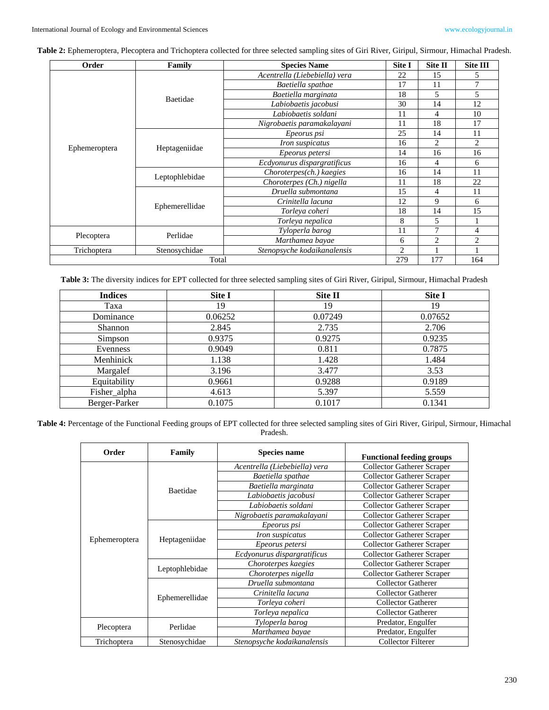**Table 2:** Ephemeroptera, Plecoptera and Trichoptera collected for three selected sampling sites of Giri River, Giripul, Sirmour, Himachal Pradesh.

| Order         | Family         | <b>Species Name</b>           | Site I | Site II        | <b>Site III</b> |
|---------------|----------------|-------------------------------|--------|----------------|-----------------|
|               | Baetidae       | Acentrella (Liebebiella) vera | 22     | 15             | 5               |
|               |                | Baetiella spathae             | 17     | 11             |                 |
|               |                | Baetiella marginata           | 18     | 5              | 5               |
|               |                | Labiobaetis jacobusi          | 30     | 14             | 12              |
|               |                | Labiobaetis soldani           | 11     | 4              | 10              |
|               |                | Nigrobaetis paramakalayani    | 11     | 18             | 17              |
|               | Heptageniidae  | Epeorus psi                   | 25     | 14             | 11              |
|               |                | Iron suspicatus               | 16     | $\overline{c}$ | 2               |
| Ephemeroptera |                | Epeorus petersi               | 14     | 16             | 16              |
|               |                | Ecdyonurus dispargratificus   | 16     | 4              | 6               |
|               | Leptophlebidae | Choroterpes(ch.) kaegies      | 16     | 14             | 11              |
|               |                | Choroterpes (Ch.) nigella     | 11     | 18             | 22              |
|               | Ephemerellidae | Druella submontana            | 15     | 4              | 11              |
|               |                | Crinitella lacuna             | 12     | 9              | 6               |
|               |                | Torleya coheri                | 18     | 14             | 15              |
|               |                | Torleya nepalica              | 8      | 5              |                 |
|               | Perlidae       | Tyloperla barog               | 11     | 7              | 4               |
| Plecoptera    |                | Marthamea bayae               | 6      | $\overline{2}$ | $\overline{c}$  |
| Trichoptera   | Stenosychidae  | Stenopsyche kodaikanalensis   | 2      |                |                 |
| Total         |                |                               |        | 177            | 164             |

**Table 3:** The diversity indices for EPT collected for three selected sampling sites of Giri River, Giripul, Sirmour, Himachal Pradesh

| <b>Indices</b> | Site I  | Site II | Site I  |
|----------------|---------|---------|---------|
| Taxa           | 19      | 19      | 19      |
| Dominance      | 0.06252 | 0.07249 | 0.07652 |
| <b>Shannon</b> | 2.845   | 2.735   | 2.706   |
| Simpson        | 0.9375  | 0.9275  | 0.9235  |
| Evenness       | 0.9049  | 0.811   | 0.7875  |
| Menhinick      | 1.138   | 1.428   | 1.484   |
| Margalef       | 3.196   | 3.477   | 3.53    |
| Equitability   | 0.9661  | 0.9288  | 0.9189  |
| Fisher_alpha   | 4.613   | 5.397   | 5.559   |
| Berger-Parker  | 0.1075  | 0.1017  | 0.1341  |

**Table 4:** Percentage of the Functional Feeding groups of EPT collected for three selected sampling sites of Giri River, Giripul, Sirmour, Himachal Pradesh.

| Order         | <b>Family</b>  | <b>Species name</b>           | <b>Functional feeding groups</b>  |
|---------------|----------------|-------------------------------|-----------------------------------|
|               | Baetidae       | Acentrella (Liebebiella) vera | <b>Collector Gatherer Scraper</b> |
|               |                | Baetiella spathae             | <b>Collector Gatherer Scraper</b> |
|               |                | Baetiella marginata           | <b>Collector Gatherer Scraper</b> |
|               |                | Labiobaetis jacobusi          | <b>Collector Gatherer Scraper</b> |
|               |                | Labiobaetis soldani           | <b>Collector Gatherer Scraper</b> |
|               |                | Nigrobaetis paramakalayani    | <b>Collector Gatherer Scraper</b> |
|               | Heptageniidae  | Epeorus psi                   | <b>Collector Gatherer Scraper</b> |
|               |                | <i>Iron suspicatus</i>        | <b>Collector Gatherer Scraper</b> |
| Ephemeroptera |                | Epeorus petersi               | <b>Collector Gatherer Scraper</b> |
|               |                | Ecdyonurus dispargratificus   | <b>Collector Gatherer Scraper</b> |
|               | Leptophlebidae | Choroterpes kaegies           | <b>Collector Gatherer Scraper</b> |
|               |                | Choroterpes nigella           | <b>Collector Gatherer Scraper</b> |
|               | Ephemerellidae | Druella submontana            | <b>Collector Gatherer</b>         |
|               |                | Crinitella lacuna             | <b>Collector Gatherer</b>         |
|               |                | Torleva coheri                | <b>Collector Gatherer</b>         |
|               |                | Torleya nepalica              | <b>Collector Gatherer</b>         |
|               | Perlidae       | Tyloperla barog               | Predator, Engulfer                |
| Plecoptera    |                | Marthamea bayae               | Predator, Engulfer                |
| Trichoptera   | Stenosychidae  | Stenopsyche kodaikanalensis   | Collector Filterer                |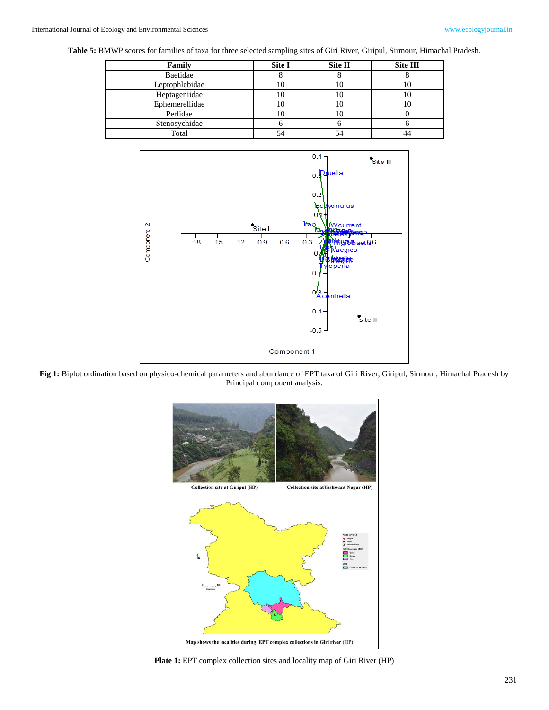**Table 5:** BMWP scores for families of taxa for three selected sampling sites of Giri River, Giripul, Sirmour, Himachal Pradesh.

| Family         | Site I | Site II | Site III |
|----------------|--------|---------|----------|
| Baetidae       |        | о       |          |
| Leptophlebidae | ΙU     | 10      |          |
| Heptageniidae  |        | 10      |          |
| Ephemerellidae |        | 10      |          |
| Perlidae       |        | 10      |          |
| Stenosychidae  |        |         |          |
| Total          |        | 54      |          |



**Fig 1:** Biplot ordination based on physico-chemical parameters and abundance of EPT taxa of Giri River, Giripul, Sirmour, Himachal Pradesh by Principal component analysis.



**Plate 1:** EPT complex collection sites and locality map of Giri River (HP)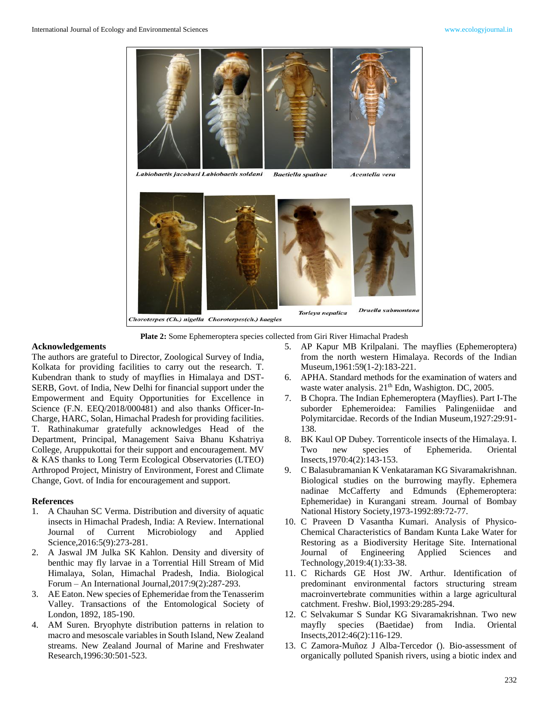

**Plate 2:** Some Ephemeroptera species collected from Giri River Himachal Pradesh

#### **Acknowledgements**

The authors are grateful to Director, Zoological Survey of India, Kolkata for providing facilities to carry out the research. T. Kubendran thank to study of mayflies in Himalaya and DST-SERB, Govt. of India, New Delhi for financial support under the Empowerment and Equity Opportunities for Excellence in Science (F.N. EEQ/2018/000481) and also thanks Officer-In-Charge, HARC, Solan, Himachal Pradesh for providing facilities. T. Rathinakumar gratefully acknowledges Head of the Department, Principal, Management Saiva Bhanu Kshatriya College, Aruppukottai for their support and encouragement. MV & KAS thanks to Long Term Ecological Observatories (LTEO) Arthropod Project, Ministry of Environment, Forest and Climate Change, Govt. of India for encouragement and support.

## **References**

- 1. A Chauhan SC Verma. Distribution and diversity of aquatic insects in Himachal Pradesh, India: A Review. International Journal of Current Microbiology and Applied Science,2016:5(9):273-281.
- 2. A Jaswal JM Julka SK Kahlon. Density and diversity of benthic may fly larvae in a Torrential Hill Stream of Mid Himalaya, Solan, Himachal Pradesh, India. Biological Forum – An International Journal,2017:9(2):287-293.
- 3. AE Eaton. New species of Ephemeridae from the Tenasserim Valley. Transactions of the Entomological Society of London, 1892, 185-190.
- 4. AM Suren. Bryophyte distribution patterns in relation to macro and mesoscale variables in South Island, New Zealand streams. New Zealand Journal of Marine and Freshwater Research,1996:30:501-523.
- 5. AP Kapur MB Krilpalani. The mayflies (Ephemeroptera) from the north western Himalaya. Records of the Indian Museum,1961:59(1-2):183-221.
- 6. APHA. Standard methods for the examination of waters and waste water analysis. 21<sup>th</sup> Edn, Washigton. DC, 2005.
- 7. B Chopra. The Indian Ephemeroptera (Mayflies). Part I-The suborder Ephemeroidea: Families Palingeniidae and Polymitarcidae. Records of the Indian Museum,1927:29:91- 138.
- 8. BK Kaul OP Dubey. Torrenticole insects of the Himalaya. I. Two new species of Ephemerida. Oriental Insects,1970:4(2):143-153.
- 9. C Balasubramanian K Venkataraman KG Sivaramakrishnan. Biological studies on the burrowing mayfly. Ephemera nadinae McCafferty and Edmunds (Ephemeroptera: Ephemeridae) in Kurangani stream. Journal of Bombay National History Society,1973-1992:89:72-77.
- 10. C Praveen D Vasantha Kumari. Analysis of Physico-Chemical Characteristics of Bandam Kunta Lake Water for Restoring as a Biodiversity Heritage Site. International Journal of Engineering Applied Sciences and Technology,2019:4(1):33-38.
- 11. C Richards GE Host JW. Arthur. Identification of predominant environmental factors structuring stream macroinvertebrate communities within a large agricultural catchment. Freshw. Biol,1993:29:285-294.
- 12. C Selvakumar S Sundar KG Sivaramakrishnan. Two new mayfly species (Baetidae) from India. Oriental Insects,2012:46(2):116-129.
- 13. C Zamora-Muñoz J Alba-Tercedor (). Bio-assessment of organically polluted Spanish rivers, using a biotic index and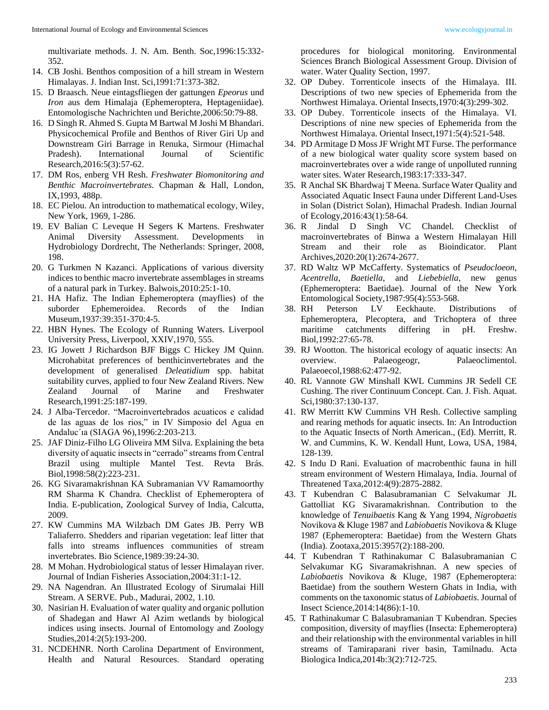multivariate methods. J. N. Am. Benth. Soc,1996:15:332- 352.

- 14. CB Joshi. Benthos composition of a hill stream in Western Himalayas. J. Indian Inst. Sci,1991:71:373-382.
- 15. D Braasch. Neue eintagsfliegen der gattungen *Epeorus* und *Iron* aus dem Himalaja (Ephemeroptera, Heptageniidae). Entomologische Nachrichten und Berichte,2006:50:79-88.
- 16. D Singh R. Ahmed S. Gupta M Bartwal M Joshi M Bhandari. Physicochemical Profile and Benthos of River Giri Up and Downstream Giri Barrage in Renuka, Sirmour (Himachal Pradesh). International Journal of Scientific Research,2016:5(3):57-62.
- 17. DM Ros, enberg VH Resh. *Freshwater Biomonitoring and Benthic Macroinvertebrates*. Chapman & Hall, London, IX,1993, 488p.
- 18. EC Pielou. An introduction to mathematical ecology, Wiley, New York, 1969, 1-286.
- 19. EV Balian C Leveque H Segers K Martens. Freshwater Animal Diversity Assessment. Developments in Hydrobiology Dordrecht, The Netherlands: Springer, 2008, 198.
- 20. G Turkmen N Kazanci. Applications of various diversity indices to benthic macro invertebrate assemblages in streams of a natural park in Turkey. Balwois,2010:25:1-10.
- 21. HA Hafiz. The Indian Ephemeroptera (mayflies) of the suborder Ephemeroidea. Records of the Indian Museum,1937:39:351-370:4-5.
- 22. HBN Hynes. The Ecology of Running Waters. Liverpool University Press, Liverpool, XXIV,1970, 555.
- 23. IG Jowett J Richardson BJF Biggs C Hickey JM Quinn. Microhabitat preferences of benthicinvertebrates and the development of generalised *Deleatidium* spp. habitat suitability curves, applied to four New Zealand Rivers. New Zealand Journal of Marine and Freshwater Research,1991:25:187-199.
- 24. J Alba-Tercedor. "Macroinvertebrados acuaticos e calidad de las aguas de los rios," in IV Simposio del Agua en Andaluc´ıa (SIAGA 96),1996:2:203-213.
- 25. JAF Diniz-Filho LG Oliveira MM Silva. Explaining the beta diversity of aquatic insects in "cerrado" streams from Central Brazil using multiple Mantel Test. Revta Brás. Biol,1998:58(2):223-231.
- 26. KG Sivaramakrishnan KA Subramanian VV Ramamoorthy RM Sharma K Chandra. Checklist of Ephemeroptera of India. E-publication, Zoological Survey of India, Calcutta, 2009.
- 27. KW Cummins MA Wilzbach DM Gates JB. Perry WB Taliaferro. Shedders and riparian vegetation: leaf litter that falls into streams influences communities of stream invertebrates. Bio Science,1989:39:24-30.
- 28. M Mohan. Hydrobiological status of lesser Himalayan river. Journal of Indian Fisheries Association,2004:31:1-12.
- 29. NA Nagendran. An Illustrated Ecology of Sirumalai Hill Stream. A SERVE. Pub., Madurai, 2002, 1.10.
- 30. Nasirian H. Evaluation of water quality and organic pollution of Shadegan and Hawr Al Azim wetlands by biological indices using insects. Journal of Entomology and Zoology Studies,2014:2(5):193-200.
- 31. NCDEHNR. North Carolina Department of Environment, Health and Natural Resources. Standard operating

procedures for biological monitoring. Environmental Sciences Branch Biological Assessment Group. Division of water. Water Quality Section, 1997.

- 32. OP Dubey. Torrenticole insects of the Himalaya. III. Descriptions of two new species of Ephemerida from the Northwest Himalaya. Oriental Insects,1970:4(3):299-302.
- 33. OP Dubey. Torrenticole insects of the Himalaya. VI. Descriptions of nine new species of Ephemerida from the Northwest Himalaya. Oriental Insect,1971:5(4):521-548.
- 34. PD Armitage D Moss JF Wright MT Furse. The performance of a new biological water quality score system based on macroinvertebrates over a wide range of unpolluted running water sites. Water Research,1983:17:333-347.
- 35. R Anchal SK Bhardwaj T Meena. Surface Water Quality and Associated Aquatic Insect Fauna under Different Land-Uses in Solan (District Solan), Himachal Pradesh. Indian Journal of Ecology,2016:43(1):58-64.
- 36. R Jindal D Singh VC Chandel. Checklist of macroinvertebrates of Binwa a Western Himalayan Hill Stream and their role as Bioindicator. Plant Archives,2020:20(1):2674-2677.
- 37. RD Waltz WP McCafferty. Systematics of *Pseudocloeon*, *Acentrella*, *Baetiella*, and *Liebebiella*, new genus (Ephemeroptera: Baetidae). Journal of the New York Entomological Society,1987:95(4):553-568.
- 38. RH Peterson LV Eeckhaute. Distributions of Ephemeroptera, Plecoptera, and Trichoptera of three maritime catchments differing in pH. Freshw. Biol,1992:27:65-78.
- 39. RJ Wootton. The historical ecology of aquatic insects: An overview. Palaeogeogr, Palaeoclimentol. Palaeoecol,1988:62:477-92.
- 40. RL Vannote GW Minshall KWL Cummins JR Sedell CE Cushing. The river Continuum Concept. Can. J. Fish. Aquat. Sci,1980:37:130-137.
- 41. RW Merritt KW Cummins VH Resh. Collective sampling and rearing methods for aquatic insects. In: An Introduction to the Aquatic Insects of North American., (Ed). Merritt, R. W. and Cummins, K. W. Kendall Hunt, Lowa, USA, 1984, 128-139.
- 42. S Indu D Rani. Evaluation of macrobenthic fauna in hill stream environment of Western Himalaya, India. Journal of Threatened Taxa,2012:4(9):2875-2882.
- 43. T Kubendran C Balasubramanian C Selvakumar JL Gattolliat KG Sivaramakrishnan. Contribution to the knowledge of *Tenuibaetis* Kang & Yang 1994, *Nigrobaetis* Novikova & Kluge 1987 and *Labiobaetis* Novikova & Kluge 1987 (Ephemeroptera: Baetidae) from the Western Ghats (India). Zootaxa,2015:3957(2):188-200.
- 44. T Kubendran T Rathinakumar C Balasubramanian C Selvakumar KG Sivaramakrishnan. A new species of *Labiobaetis* Novikova & Kluge, 1987 (Ephemeroptera: Baetidae) from the southern Western Ghats in India, with comments on the taxonomic status of *Labiobaetis*. Journal of Insect Science,2014:14(86):1-10.
- 45. T Rathinakumar C Balasubramanian T Kubendran. Species composition, diversity of mayflies (Insecta: Ephemeroptera) and their relationship with the environmental variables in hill streams of Tamiraparani river basin, Tamilnadu. Acta Biologica Indica,2014b:3(2):712-725.